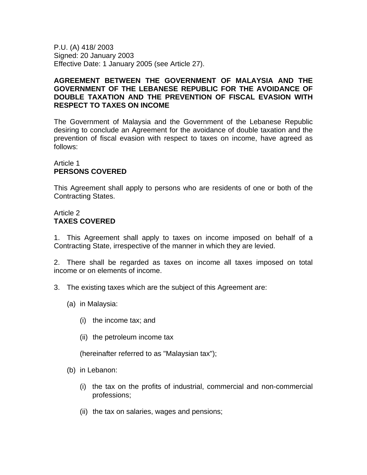P.U. (A) 418/ 2003 Signed: 20 January 2003 Effective Date: 1 January 2005 (see Article 27).

#### **AGREEMENT BETWEEN THE GOVERNMENT OF MALAYSIA AND THE GOVERNMENT OF THE LEBANESE REPUBLIC FOR THE AVOIDANCE OF DOUBLE TAXATION AND THE PREVENTION OF FISCAL EVASION WITH RESPECT TO TAXES ON INCOME**

The Government of Malaysia and the Government of the Lebanese Republic desiring to conclude an Agreement for the avoidance of double taxation and the prevention of fiscal evasion with respect to taxes on income, have agreed as follows:

#### Article 1 **PERSONS COVERED**

This Agreement shall apply to persons who are residents of one or both of the Contracting States.

# Article 2 **TAXES COVERED**

1. This Agreement shall apply to taxes on income imposed on behalf of a Contracting State, irrespective of the manner in which they are levied.

2. There shall be regarded as taxes on income all taxes imposed on total income or on elements of income.

- 3. The existing taxes which are the subject of this Agreement are:
	- (a) in Malaysia:
		- (i) the income tax; and
		- (ii) the petroleum income tax

(hereinafter referred to as "Malaysian tax");

(b) in Lebanon:

- (i) the tax on the profits of industrial, commercial and non-commercial professions;
- (ii) the tax on salaries, wages and pensions;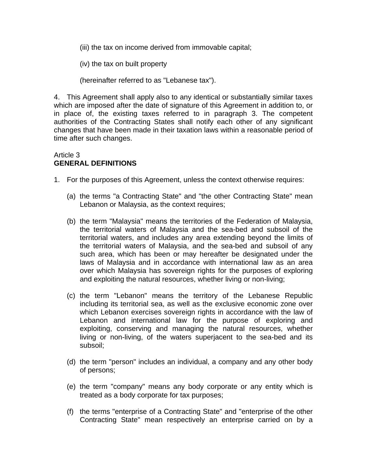- (iii) the tax on income derived from immovable capital;
- (iv) the tax on built property
- (hereinafter referred to as "Lebanese tax").

4. This Agreement shall apply also to any identical or substantially similar taxes which are imposed after the date of signature of this Agreement in addition to, or in place of, the existing taxes referred to in paragraph 3. The competent authorities of the Contracting States shall notify each other of any significant changes that have been made in their taxation laws within a reasonable period of time after such changes.

### Article 3 **GENERAL DEFINITIONS**

- 1. For the purposes of this Agreement, unless the context otherwise requires:
	- (a) the terms "a Contracting State" and "the other Contracting State" mean Lebanon or Malaysia, as the context requires;
	- (b) the term "Malaysia" means the territories of the Federation of Malaysia, the territorial waters of Malaysia and the sea-bed and subsoil of the territorial waters, and includes any area extending beyond the limits of the territorial waters of Malaysia, and the sea-bed and subsoil of any such area, which has been or may hereafter be designated under the laws of Malaysia and in accordance with international law as an area over which Malaysia has sovereign rights for the purposes of exploring and exploiting the natural resources, whether living or non-living;
	- (c) the term "Lebanon" means the territory of the Lebanese Republic including its territorial sea, as well as the exclusive economic zone over which Lebanon exercises sovereign rights in accordance with the law of Lebanon and international law for the purpose of exploring and exploiting, conserving and managing the natural resources, whether living or non-living, of the waters superjacent to the sea-bed and its subsoil;
	- (d) the term "person" includes an individual, a company and any other body of persons;
	- (e) the term "company" means any body corporate or any entity which is treated as a body corporate for tax purposes;
	- (f) the terms "enterprise of a Contracting State" and "enterprise of the other Contracting State" mean respectively an enterprise carried on by a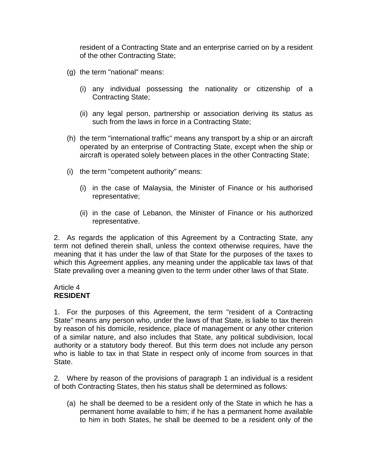resident of a Contracting State and an enterprise carried on by a resident of the other Contracting State;

- (g) the term "national" means:
	- (i) any individual possessing the nationality or citizenship of a Contracting State;
	- (ii) any legal person, partnership or association deriving its status as such from the laws in force in a Contracting State;
- (h) the term "international traffic" means any transport by a ship or an aircraft operated by an enterprise of Contracting State, except when the ship or aircraft is operated solely between places in the other Contracting State;
- (i) the term "competent authority" means:
	- (i) in the case of Malaysia, the Minister of Finance or his authorised representative;
	- (ii) in the case of Lebanon, the Minister of Finance or his authorized representative.

2. As regards the application of this Agreement by a Contracting State, any term not defined therein shall, unless the context otherwise requires, have the meaning that it has under the law of that State for the purposes of the taxes to which this Agreement applies, any meaning under the applicable tax laws of that State prevailing over a meaning given to the term under other laws of that State.

#### Article 4 **RESIDENT**

1. For the purposes of this Agreement, the term "resident of a Contracting State" means any person who, under the laws of that State, is liable to tax therein by reason of his domicile, residence, place of management or any other criterion of a similar nature, and also includes that State, any political subdivision, local authority or a statutory body thereof. But this term does not include any person who is liable to tax in that State in respect only of income from sources in that State.

2. Where by reason of the provisions of paragraph 1 an individual is a resident of both Contracting States, then his status shall be determined as follows:

(a) he shall be deemed to be a resident only of the State in which he has a permanent home available to him; if he has a permanent home available to him in both States, he shall be deemed to be a resident only of the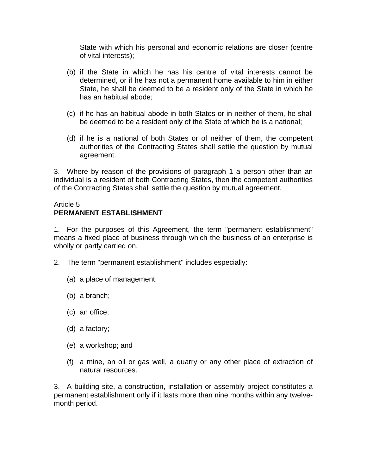State with which his personal and economic relations are closer (centre of vital interests);

- (b) if the State in which he has his centre of vital interests cannot be determined, or if he has not a permanent home available to him in either State, he shall be deemed to be a resident only of the State in which he has an habitual abode;
- (c) if he has an habitual abode in both States or in neither of them, he shall be deemed to be a resident only of the State of which he is a national;
- (d) if he is a national of both States or of neither of them, the competent authorities of the Contracting States shall settle the question by mutual agreement.

3. Where by reason of the provisions of paragraph 1 a person other than an individual is a resident of both Contracting States, then the competent authorities of the Contracting States shall settle the question by mutual agreement.

### Article 5 **PERMANENT ESTABLISHMENT**

1. For the purposes of this Agreement, the term "permanent establishment" means a fixed place of business through which the business of an enterprise is wholly or partly carried on.

- 2. The term "permanent establishment" includes especially:
	- (a) a place of management;
	- (b) a branch;
	- (c) an office;
	- (d) a factory;
	- (e) a workshop; and
	- (f) a mine, an oil or gas well, a quarry or any other place of extraction of natural resources.

3. A building site, a construction, installation or assembly project constitutes a permanent establishment only if it lasts more than nine months within any twelvemonth period.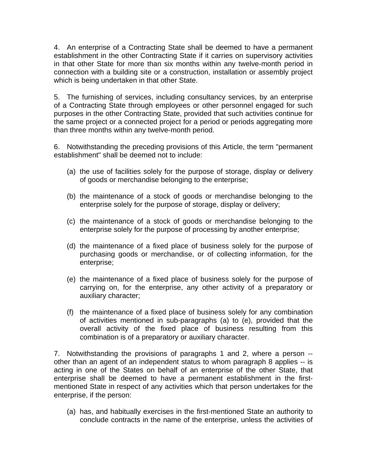4. An enterprise of a Contracting State shall be deemed to have a permanent establishment in the other Contracting State if it carries on supervisory activities in that other State for more than six months within any twelve-month period in connection with a building site or a construction, installation or assembly project which is being undertaken in that other State.

5. The furnishing of services, including consultancy services, by an enterprise of a Contracting State through employees or other personnel engaged for such purposes in the other Contracting State, provided that such activities continue for the same project or a connected project for a period or periods aggregating more than three months within any twelve-month period.

6. Notwithstanding the preceding provisions of this Article, the term "permanent establishment" shall be deemed not to include:

- (a) the use of facilities solely for the purpose of storage, display or delivery of goods or merchandise belonging to the enterprise;
- (b) the maintenance of a stock of goods or merchandise belonging to the enterprise solely for the purpose of storage, display or delivery;
- (c) the maintenance of a stock of goods or merchandise belonging to the enterprise solely for the purpose of processing by another enterprise;
- (d) the maintenance of a fixed place of business solely for the purpose of purchasing goods or merchandise, or of collecting information, for the enterprise;
- (e) the maintenance of a fixed place of business solely for the purpose of carrying on, for the enterprise, any other activity of a preparatory or auxiliary character;
- (f) the maintenance of a fixed place of business solely for any combination of activities mentioned in sub-paragraphs (a) to (e), provided that the overall activity of the fixed place of business resulting from this combination is of a preparatory or auxiliary character.

7. Notwithstanding the provisions of paragraphs 1 and 2, where a person - other than an agent of an independent status to whom paragraph 8 applies -- is acting in one of the States on behalf of an enterprise of the other State, that enterprise shall be deemed to have a permanent establishment in the firstmentioned State in respect of any activities which that person undertakes for the enterprise, if the person:

(a) has, and habitually exercises in the first-mentioned State an authority to conclude contracts in the name of the enterprise, unless the activities of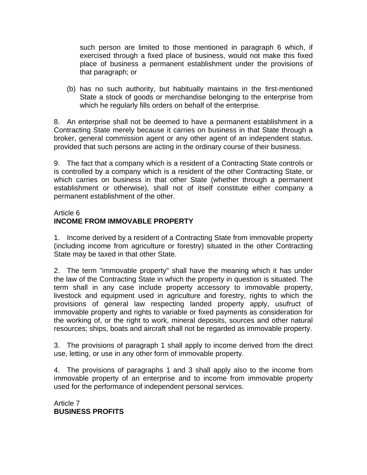such person are limited to those mentioned in paragraph 6 which, if exercised through a fixed place of business, would not make this fixed place of business a permanent establishment under the provisions of that paragraph; or

(b) has no such authority, but habitually maintains in the first-mentioned State a stock of goods or merchandise belonging to the enterprise from which he regularly fills orders on behalf of the enterprise.

8. An enterprise shall not be deemed to have a permanent establishment in a Contracting State merely because it carries on business in that State through a broker, general commission agent or any other agent of an independent status, provided that such persons are acting in the ordinary course of their business.

9. The fact that a company which is a resident of a Contracting State controls or is controlled by a company which is a resident of the other Contracting State, or which carries on business in that other State (whether through a permanent establishment or otherwise), shall not of itself constitute either company a permanent establishment of the other.

#### Article 6

# **INCOME FROM IMMOVABLE PROPERTY**

1. Income derived by a resident of a Contracting State from immovable property (including income from agriculture or forestry) situated in the other Contracting State may be taxed in that other State.

2. The term "immovable property" shall have the meaning which it has under the law of the Contracting State in which the property in question is situated. The term shall in any case include property accessory to immovable property, livestock and equipment used in agriculture and forestry, rights to which the provisions of general law respecting landed property apply, usufruct of immovable property and rights to variable or fixed payments as consideration for the working of, or the right to work, mineral deposits, sources and other natural resources; ships, boats and aircraft shall not be regarded as immovable property.

3. The provisions of paragraph 1 shall apply to income derived from the direct use, letting, or use in any other form of immovable property.

4. The provisions of paragraphs 1 and 3 shall apply also to the income from immovable property of an enterprise and to income from immovable property used for the performance of independent personal services.

Article 7 **BUSINESS PROFITS**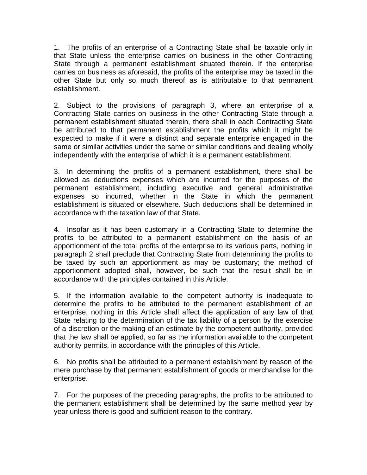1. The profits of an enterprise of a Contracting State shall be taxable only in that State unless the enterprise carries on business in the other Contracting State through a permanent establishment situated therein. If the enterprise carries on business as aforesaid, the profits of the enterprise may be taxed in the other State but only so much thereof as is attributable to that permanent establishment.

2. Subject to the provisions of paragraph 3, where an enterprise of a Contracting State carries on business in the other Contracting State through a permanent establishment situated therein, there shall in each Contracting State be attributed to that permanent establishment the profits which it might be expected to make if it were a distinct and separate enterprise engaged in the same or similar activities under the same or similar conditions and dealing wholly independently with the enterprise of which it is a permanent establishment.

3. In determining the profits of a permanent establishment, there shall be allowed as deductions expenses which are incurred for the purposes of the permanent establishment, including executive and general administrative expenses so incurred, whether in the State in which the permanent establishment is situated or elsewhere. Such deductions shall be determined in accordance with the taxation law of that State.

4. Insofar as it has been customary in a Contracting State to determine the profits to be attributed to a permanent establishment on the basis of an apportionment of the total profits of the enterprise to its various parts, nothing in paragraph 2 shall preclude that Contracting State from determining the profits to be taxed by such an apportionment as may be customary; the method of apportionment adopted shall, however, be such that the result shall be in accordance with the principles contained in this Article.

5. If the information available to the competent authority is inadequate to determine the profits to be attributed to the permanent establishment of an enterprise, nothing in this Article shall affect the application of any law of that State relating to the determination of the tax liability of a person by the exercise of a discretion or the making of an estimate by the competent authority, provided that the law shall be applied, so far as the information available to the competent authority permits, in accordance with the principles of this Article.

6. No profits shall be attributed to a permanent establishment by reason of the mere purchase by that permanent establishment of goods or merchandise for the enterprise.

7. For the purposes of the preceding paragraphs, the profits to be attributed to the permanent establishment shall be determined by the same method year by year unless there is good and sufficient reason to the contrary.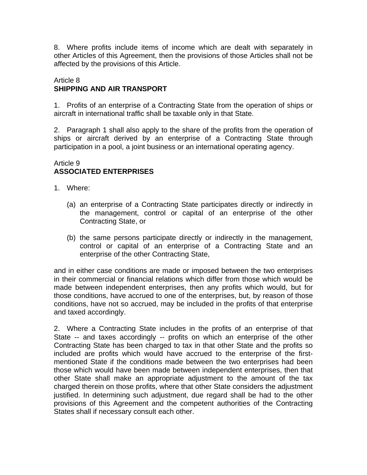8. Where profits include items of income which are dealt with separately in other Articles of this Agreement, then the provisions of those Articles shall not be affected by the provisions of this Article.

# Article 8 **SHIPPING AND AIR TRANSPORT**

1. Profits of an enterprise of a Contracting State from the operation of ships or aircraft in international traffic shall be taxable only in that State.

2. Paragraph 1 shall also apply to the share of the profits from the operation of ships or aircraft derived by an enterprise of a Contracting State through participation in a pool, a joint business or an international operating agency.

#### Article 9 **ASSOCIATED ENTERPRISES**

- 1. Where:
	- (a) an enterprise of a Contracting State participates directly or indirectly in the management, control or capital of an enterprise of the other Contracting State, or
	- (b) the same persons participate directly or indirectly in the management, control or capital of an enterprise of a Contracting State and an enterprise of the other Contracting State,

and in either case conditions are made or imposed between the two enterprises in their commercial or financial relations which differ from those which would be made between independent enterprises, then any profits which would, but for those conditions, have accrued to one of the enterprises, but, by reason of those conditions, have not so accrued, may be included in the profits of that enterprise and taxed accordingly.

2. Where a Contracting State includes in the profits of an enterprise of that State -- and taxes accordingly -- profits on which an enterprise of the other Contracting State has been charged to tax in that other State and the profits so included are profits which would have accrued to the enterprise of the firstmentioned State if the conditions made between the two enterprises had been those which would have been made between independent enterprises, then that other State shall make an appropriate adjustment to the amount of the tax charged therein on those profits, where that other State considers the adjustment justified. In determining such adjustment, due regard shall be had to the other provisions of this Agreement and the competent authorities of the Contracting States shall if necessary consult each other.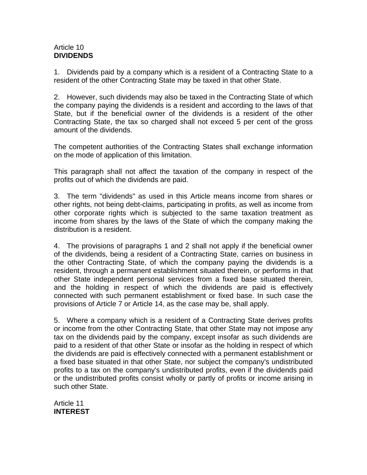### Article 10 **DIVIDENDS**

1. Dividends paid by a company which is a resident of a Contracting State to a resident of the other Contracting State may be taxed in that other State.

2. However, such dividends may also be taxed in the Contracting State of which the company paying the dividends is a resident and according to the laws of that State, but if the beneficial owner of the dividends is a resident of the other Contracting State, the tax so charged shall not exceed 5 per cent of the gross amount of the dividends.

The competent authorities of the Contracting States shall exchange information on the mode of application of this limitation.

This paragraph shall not affect the taxation of the company in respect of the profits out of which the dividends are paid.

3. The term "dividends" as used in this Article means income from shares or other rights, not being debt-claims, participating in profits, as well as income from other corporate rights which is subjected to the same taxation treatment as income from shares by the laws of the State of which the company making the distribution is a resident.

4. The provisions of paragraphs 1 and 2 shall not apply if the beneficial owner of the dividends, being a resident of a Contracting State, carries on business in the other Contracting State, of which the company paying the dividends is a resident, through a permanent establishment situated therein, or performs in that other State independent personal services from a fixed base situated therein, and the holding in respect of which the dividends are paid is effectively connected with such permanent establishment or fixed base. In such case the provisions of Article 7 or Article 14, as the case may be, shall apply.

5. Where a company which is a resident of a Contracting State derives profits or income from the other Contracting State, that other State may not impose any tax on the dividends paid by the company, except insofar as such dividends are paid to a resident of that other State or insofar as the holding in respect of which the dividends are paid is effectively connected with a permanent establishment or a fixed base situated in that other State, nor subject the company's undistributed profits to a tax on the company's undistributed profits, even if the dividends paid or the undistributed profits consist wholly or partly of profits or income arising in such other State.

Article 11 **INTEREST**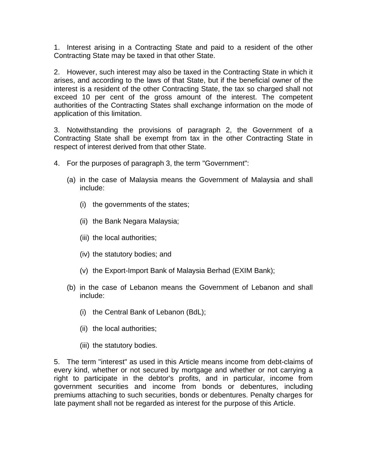1. Interest arising in a Contracting State and paid to a resident of the other Contracting State may be taxed in that other State.

2. However, such interest may also be taxed in the Contracting State in which it arises, and according to the laws of that State, but if the beneficial owner of the interest is a resident of the other Contracting State, the tax so charged shall not exceed 10 per cent of the gross amount of the interest. The competent authorities of the Contracting States shall exchange information on the mode of application of this limitation.

3. Notwithstanding the provisions of paragraph 2, the Government of a Contracting State shall be exempt from tax in the other Contracting State in respect of interest derived from that other State.

- 4. For the purposes of paragraph 3, the term "Government":
	- (a) in the case of Malaysia means the Government of Malaysia and shall include:
		- (i) the governments of the states;
		- (ii) the Bank Negara Malaysia;
		- (iii) the local authorities;
		- (iv) the statutory bodies; and
		- (v) the Export-Import Bank of Malaysia Berhad (EXIM Bank);
	- (b) in the case of Lebanon means the Government of Lebanon and shall include:
		- (i) the Central Bank of Lebanon (BdL);
		- (ii) the local authorities;
		- (iii) the statutory bodies.

5. The term "interest" as used in this Article means income from debt-claims of every kind, whether or not secured by mortgage and whether or not carrying a right to participate in the debtor's profits, and in particular, income from government securities and income from bonds or debentures, including premiums attaching to such securities, bonds or debentures. Penalty charges for late payment shall not be regarded as interest for the purpose of this Article.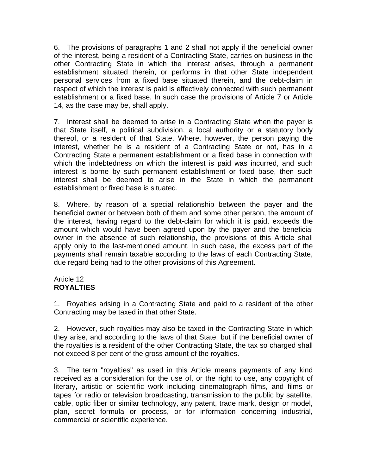6. The provisions of paragraphs 1 and 2 shall not apply if the beneficial owner of the interest, being a resident of a Contracting State, carries on business in the other Contracting State in which the interest arises, through a permanent establishment situated therein, or performs in that other State independent personal services from a fixed base situated therein, and the debt-claim in respect of which the interest is paid is effectively connected with such permanent establishment or a fixed base. In such case the provisions of Article 7 or Article 14, as the case may be, shall apply.

7. Interest shall be deemed to arise in a Contracting State when the payer is that State itself, a political subdivision, a local authority or a statutory body thereof, or a resident of that State. Where, however, the person paying the interest, whether he is a resident of a Contracting State or not, has in a Contracting State a permanent establishment or a fixed base in connection with which the indebtedness on which the interest is paid was incurred, and such interest is borne by such permanent establishment or fixed base, then such interest shall be deemed to arise in the State in which the permanent establishment or fixed base is situated.

8. Where, by reason of a special relationship between the payer and the beneficial owner or between both of them and some other person, the amount of the interest, having regard to the debt-claim for which it is paid, exceeds the amount which would have been agreed upon by the payer and the beneficial owner in the absence of such relationship, the provisions of this Article shall apply only to the last-mentioned amount. In such case, the excess part of the payments shall remain taxable according to the laws of each Contracting State, due regard being had to the other provisions of this Agreement.

#### Article 12 **ROYALTIES**

1. Royalties arising in a Contracting State and paid to a resident of the other Contracting may be taxed in that other State.

2. However, such royalties may also be taxed in the Contracting State in which they arise, and according to the laws of that State, but if the beneficial owner of the royalties is a resident of the other Contracting State, the tax so charged shall not exceed 8 per cent of the gross amount of the royalties.

3. The term "royalties" as used in this Article means payments of any kind received as a consideration for the use of, or the right to use, any copyright of literary, artistic or scientific work including cinematograph films, and films or tapes for radio or television broadcasting, transmission to the public by satellite, cable, optic fiber or similar technology, any patent, trade mark, design or model, plan, secret formula or process, or for information concerning industrial, commercial or scientific experience.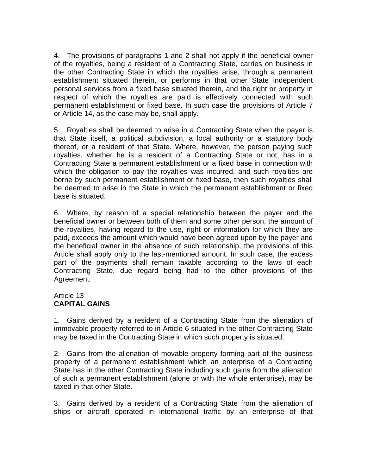4. The provisions of paragraphs 1 and 2 shall not apply if the beneficial owner of the royalties, being a resident of a Contracting State, carries on business in the other Contracting State in which the royalties arise, through a permanent establishment situated therein, or performs in that other State independent personal services from a fixed base situated therein, and the right or property in respect of which the royalties are paid is effectively connected with such permanent establishment or fixed base. In such case the provisions of Article 7 or Article 14, as the case may be, shall apply.

5. Royalties shall be deemed to arise in a Contracting State when the payer is that State itself, a political subdivision, a local authority or a statutory body thereof, or a resident of that State. Where, however, the person paying such royalties, whether he is a resident of a Contracting State or not, has in a Contracting State a permanent establishment or a fixed base in connection with which the obligation to pay the royalties was incurred, and such royalties are borne by such permanent establishment or fixed base, then such royalties shall be deemed to arise in the State in which the permanent establishment or fixed base is situated.

6. Where, by reason of a special relationship between the payer and the beneficial owner or between both of them and some other person, the amount of the royalties, having regard to the use, right or information for which they are paid, exceeds the amount which would have been agreed upon by the payer and the beneficial owner in the absence of such relationship, the provisions of this Article shall apply only to the last-mentioned amount. In such case, the excess part of the payments shall remain taxable according to the laws of each Contracting State, due regard being had to the other provisions of this Agreement.

# Article 13 **CAPITAL GAINS**

1. Gains derived by a resident of a Contracting State from the alienation of immovable property referred to in Article 6 situated in the other Contracting State may be taxed in the Contracting State in which such property is situated.

2. Gains from the alienation of movable property forming part of the business property of a permanent establishment which an enterprise of a Contracting State has in the other Contracting State including such gains from the alienation of such a permanent establishment (alone or with the whole enterprise), may be taxed in that other State.

3. Gains derived by a resident of a Contracting State from the alienation of ships or aircraft operated in international traffic by an enterprise of that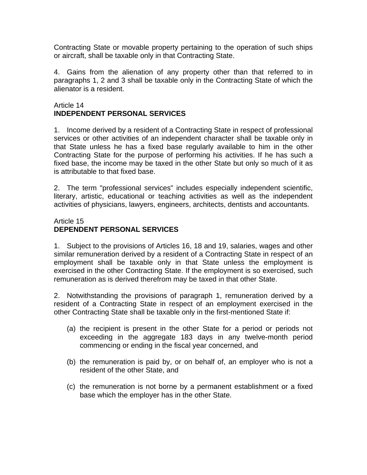Contracting State or movable property pertaining to the operation of such ships or aircraft, shall be taxable only in that Contracting State.

4. Gains from the alienation of any property other than that referred to in paragraphs 1, 2 and 3 shall be taxable only in the Contracting State of which the alienator is a resident.

#### Article 14 **INDEPENDENT PERSONAL SERVICES**

1. Income derived by a resident of a Contracting State in respect of professional services or other activities of an independent character shall be taxable only in that State unless he has a fixed base regularly available to him in the other Contracting State for the purpose of performing his activities. If he has such a fixed base, the income may be taxed in the other State but only so much of it as is attributable to that fixed base.

2. The term "professional services" includes especially independent scientific, literary, artistic, educational or teaching activities as well as the independent activities of physicians, lawyers, engineers, architects, dentists and accountants.

# Article 15 **DEPENDENT PERSONAL SERVICES**

1. Subject to the provisions of Articles 16, 18 and 19, salaries, wages and other similar remuneration derived by a resident of a Contracting State in respect of an employment shall be taxable only in that State unless the employment is exercised in the other Contracting State. If the employment is so exercised, such remuneration as is derived therefrom may be taxed in that other State.

2. Notwithstanding the provisions of paragraph 1, remuneration derived by a resident of a Contracting State in respect of an employment exercised in the other Contracting State shall be taxable only in the first-mentioned State if:

- (a) the recipient is present in the other State for a period or periods not exceeding in the aggregate 183 days in any twelve-month period commencing or ending in the fiscal year concerned, and
- (b) the remuneration is paid by, or on behalf of, an employer who is not a resident of the other State, and
- (c) the remuneration is not borne by a permanent establishment or a fixed base which the employer has in the other State.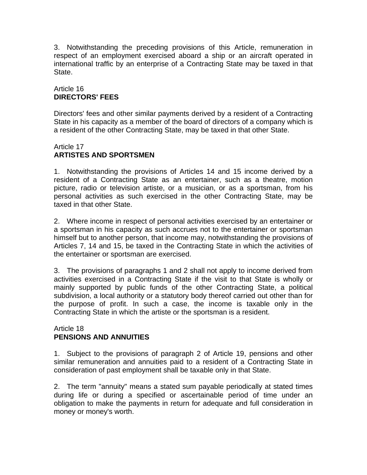3. Notwithstanding the preceding provisions of this Article, remuneration in respect of an employment exercised aboard a ship or an aircraft operated in international traffic by an enterprise of a Contracting State may be taxed in that State.

# Article 16 **DIRECTORS' FEES**

Directors' fees and other similar payments derived by a resident of a Contracting State in his capacity as a member of the board of directors of a company which is a resident of the other Contracting State, may be taxed in that other State.

# Article 17 **ARTISTES AND SPORTSMEN**

1. Notwithstanding the provisions of Articles 14 and 15 income derived by a resident of a Contracting State as an entertainer, such as a theatre, motion picture, radio or television artiste, or a musician, or as a sportsman, from his personal activities as such exercised in the other Contracting State, may be taxed in that other State.

2. Where income in respect of personal activities exercised by an entertainer or a sportsman in his capacity as such accrues not to the entertainer or sportsman himself but to another person, that income may, notwithstanding the provisions of Articles 7, 14 and 15, be taxed in the Contracting State in which the activities of the entertainer or sportsman are exercised.

3. The provisions of paragraphs 1 and 2 shall not apply to income derived from activities exercised in a Contracting State if the visit to that State is wholly or mainly supported by public funds of the other Contracting State, a political subdivision, a local authority or a statutory body thereof carried out other than for the purpose of profit. In such a case, the income is taxable only in the Contracting State in which the artiste or the sportsman is a resident.

# Article 18 **PENSIONS AND ANNUITIES**

1. Subject to the provisions of paragraph 2 of Article 19, pensions and other similar remuneration and annuities paid to a resident of a Contracting State in consideration of past employment shall be taxable only in that State.

2. The term "annuity" means a stated sum payable periodically at stated times during life or during a specified or ascertainable period of time under an obligation to make the payments in return for adequate and full consideration in money or money's worth.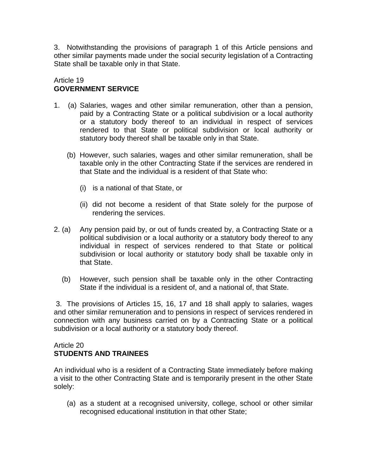3. Notwithstanding the provisions of paragraph 1 of this Article pensions and other similar payments made under the social security legislation of a Contracting State shall be taxable only in that State.

### Article 19 **GOVERNMENT SERVICE**

- 1. (a) Salaries, wages and other similar remuneration, other than a pension, paid by a Contracting State or a political subdivision or a local authority or a statutory body thereof to an individual in respect of services rendered to that State or political subdivision or local authority or statutory body thereof shall be taxable only in that State.
	- (b) However, such salaries, wages and other similar remuneration, shall be taxable only in the other Contracting State if the services are rendered in that State and the individual is a resident of that State who:
		- (i) is a national of that State, or
		- (ii) did not become a resident of that State solely for the purpose of rendering the services.
- 2. (a) Any pension paid by, or out of funds created by, a Contracting State or a political subdivision or a local authority or a statutory body thereof to any individual in respect of services rendered to that State or political subdivision or local authority or statutory body shall be taxable only in that State.
	- (b) However, such pension shall be taxable only in the other Contracting State if the individual is a resident of, and a national of, that State.

 3. The provisions of Articles 15, 16, 17 and 18 shall apply to salaries, wages and other similar remuneration and to pensions in respect of services rendered in connection with any business carried on by a Contracting State or a political subdivision or a local authority or a statutory body thereof.

# Article 20 **STUDENTS AND TRAINEES**

An individual who is a resident of a Contracting State immediately before making a visit to the other Contracting State and is temporarily present in the other State solely:

(a) as a student at a recognised university, college, school or other similar recognised educational institution in that other State;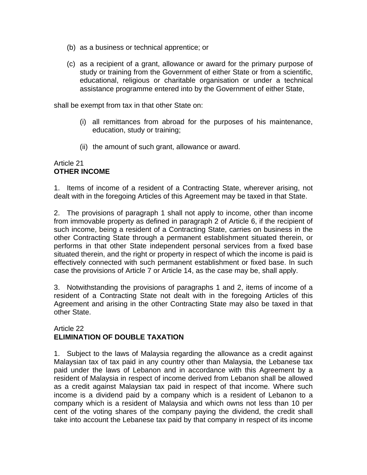- (b) as a business or technical apprentice; or
- (c) as a recipient of a grant, allowance or award for the primary purpose of study or training from the Government of either State or from a scientific, educational, religious or charitable organisation or under a technical assistance programme entered into by the Government of either State,

shall be exempt from tax in that other State on:

- (i) all remittances from abroad for the purposes of his maintenance, education, study or training;
- (ii) the amount of such grant, allowance or award.

#### Article 21 **OTHER INCOME**

1. Items of income of a resident of a Contracting State, wherever arising, not dealt with in the foregoing Articles of this Agreement may be taxed in that State.

2. The provisions of paragraph 1 shall not apply to income, other than income from immovable property as defined in paragraph 2 of Article 6, if the recipient of such income, being a resident of a Contracting State, carries on business in the other Contracting State through a permanent establishment situated therein, or performs in that other State independent personal services from a fixed base situated therein, and the right or property in respect of which the income is paid is effectively connected with such permanent establishment or fixed base. In such case the provisions of Article 7 or Article 14, as the case may be, shall apply.

3. Notwithstanding the provisions of paragraphs 1 and 2, items of income of a resident of a Contracting State not dealt with in the foregoing Articles of this Agreement and arising in the other Contracting State may also be taxed in that other State.

#### Article 22 **ELIMINATION OF DOUBLE TAXATION**

1. Subject to the laws of Malaysia regarding the allowance as a credit against Malaysian tax of tax paid in any country other than Malaysia, the Lebanese tax paid under the laws of Lebanon and in accordance with this Agreement by a resident of Malaysia in respect of income derived from Lebanon shall be allowed as a credit against Malaysian tax paid in respect of that income. Where such income is a dividend paid by a company which is a resident of Lebanon to a company which is a resident of Malaysia and which owns not less than 10 per cent of the voting shares of the company paying the dividend, the credit shall take into account the Lebanese tax paid by that company in respect of its income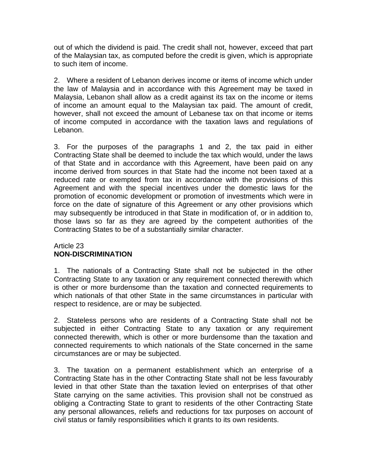out of which the dividend is paid. The credit shall not, however, exceed that part of the Malaysian tax, as computed before the credit is given, which is appropriate to such item of income.

2. Where a resident of Lebanon derives income or items of income which under the law of Malaysia and in accordance with this Agreement may be taxed in Malaysia, Lebanon shall allow as a credit against its tax on the income or items of income an amount equal to the Malaysian tax paid. The amount of credit, however, shall not exceed the amount of Lebanese tax on that income or items of income computed in accordance with the taxation laws and regulations of Lebanon.

3. For the purposes of the paragraphs 1 and 2, the tax paid in either Contracting State shall be deemed to include the tax which would, under the laws of that State and in accordance with this Agreement, have been paid on any income derived from sources in that State had the income not been taxed at a reduced rate or exempted from tax in accordance with the provisions of this Agreement and with the special incentives under the domestic laws for the promotion of economic development or promotion of investments which were in force on the date of signature of this Agreement or any other provisions which may subsequently be introduced in that State in modification of, or in addition to, those laws so far as they are agreed by the competent authorities of the Contracting States to be of a substantially similar character.

# Article 23 **NON-DISCRIMINATION**

1. The nationals of a Contracting State shall not be subjected in the other Contracting State to any taxation or any requirement connected therewith which is other or more burdensome than the taxation and connected requirements to which nationals of that other State in the same circumstances in particular with respect to residence, are or may be subjected.

2. Stateless persons who are residents of a Contracting State shall not be subjected in either Contracting State to any taxation or any requirement connected therewith, which is other or more burdensome than the taxation and connected requirements to which nationals of the State concerned in the same circumstances are or may be subjected.

3. The taxation on a permanent establishment which an enterprise of a Contracting State has in the other Contracting State shall not be less favourably levied in that other State than the taxation levied on enterprises of that other State carrying on the same activities. This provision shall not be construed as obliging a Contracting State to grant to residents of the other Contracting State any personal allowances, reliefs and reductions for tax purposes on account of civil status or family responsibilities which it grants to its own residents.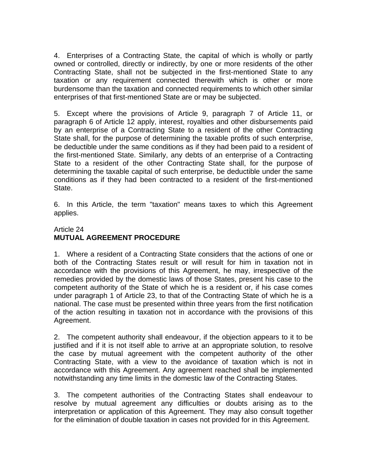4. Enterprises of a Contracting State, the capital of which is wholly or partly owned or controlled, directly or indirectly, by one or more residents of the other Contracting State, shall not be subjected in the first-mentioned State to any taxation or any requirement connected therewith which is other or more burdensome than the taxation and connected requirements to which other similar enterprises of that first-mentioned State are or may be subjected.

5. Except where the provisions of Article 9, paragraph 7 of Article 11, or paragraph 6 of Article 12 apply, interest, royalties and other disbursements paid by an enterprise of a Contracting State to a resident of the other Contracting State shall, for the purpose of determining the taxable profits of such enterprise, be deductible under the same conditions as if they had been paid to a resident of the first-mentioned State. Similarly, any debts of an enterprise of a Contracting State to a resident of the other Contracting State shall, for the purpose of determining the taxable capital of such enterprise, be deductible under the same conditions as if they had been contracted to a resident of the first-mentioned State.

6. In this Article, the term "taxation" means taxes to which this Agreement applies.

### Article 24 **MUTUAL AGREEMENT PROCEDURE**

1. Where a resident of a Contracting State considers that the actions of one or both of the Contracting States result or will result for him in taxation not in accordance with the provisions of this Agreement, he may, irrespective of the remedies provided by the domestic laws of those States, present his case to the competent authority of the State of which he is a resident or, if his case comes under paragraph 1 of Article 23, to that of the Contracting State of which he is a national. The case must be presented within three years from the first notification of the action resulting in taxation not in accordance with the provisions of this Agreement.

2. The competent authority shall endeavour, if the objection appears to it to be justified and if it is not itself able to arrive at an appropriate solution, to resolve the case by mutual agreement with the competent authority of the other Contracting State, with a view to the avoidance of taxation which is not in accordance with this Agreement. Any agreement reached shall be implemented notwithstanding any time limits in the domestic law of the Contracting States.

3. The competent authorities of the Contracting States shall endeavour to resolve by mutual agreement any difficulties or doubts arising as to the interpretation or application of this Agreement. They may also consult together for the elimination of double taxation in cases not provided for in this Agreement.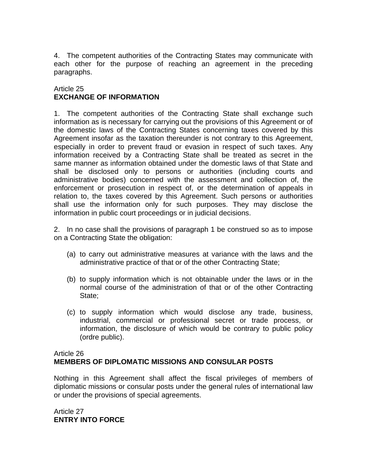4. The competent authorities of the Contracting States may communicate with each other for the purpose of reaching an agreement in the preceding paragraphs.

# Article 25 **EXCHANGE OF INFORMATION**

1. The competent authorities of the Contracting State shall exchange such information as is necessary for carrying out the provisions of this Agreement or of the domestic laws of the Contracting States concerning taxes covered by this Agreement insofar as the taxation thereunder is not contrary to this Agreement, especially in order to prevent fraud or evasion in respect of such taxes. Any information received by a Contracting State shall be treated as secret in the same manner as information obtained under the domestic laws of that State and shall be disclosed only to persons or authorities (including courts and administrative bodies) concerned with the assessment and collection of, the enforcement or prosecution in respect of, or the determination of appeals in relation to, the taxes covered by this Agreement. Such persons or authorities shall use the information only for such purposes. They may disclose the information in public court proceedings or in judicial decisions.

2. In no case shall the provisions of paragraph 1 be construed so as to impose on a Contracting State the obligation:

- (a) to carry out administrative measures at variance with the laws and the administrative practice of that or of the other Contracting State;
- (b) to supply information which is not obtainable under the laws or in the normal course of the administration of that or of the other Contracting State;
- (c) to supply information which would disclose any trade, business, industrial, commercial or professional secret or trade process, or information, the disclosure of which would be contrary to public policy (ordre public).

#### Article 26 **MEMBERS OF DIPLOMATIC MISSIONS AND CONSULAR POSTS**

Nothing in this Agreement shall affect the fiscal privileges of members of diplomatic missions or consular posts under the general rules of international law or under the provisions of special agreements.

Article 27 **ENTRY INTO FORCE**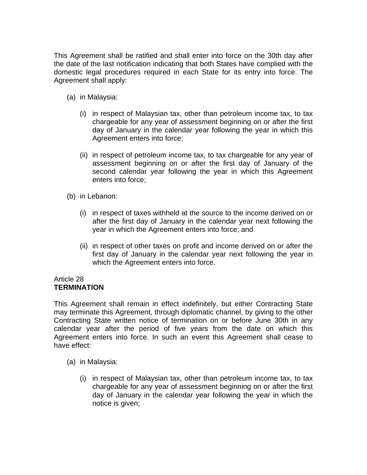This Agreement shall be ratified and shall enter into force on the 30th day after the date of the last notification indicating that both States have complied with the domestic legal procedures required in each State for its entry into force. The Agreement shall apply:

- (a) in Malaysia:
	- (i) in respect of Malaysian tax, other than petroleum income tax, to tax chargeable for any year of assessment beginning on or after the first day of January in the calendar year following the year in which this Agreement enters into force;
	- (ii) in respect of petroleum income tax, to tax chargeable for any year of assessment beginning on or after the first day of January of the second calendar year following the year in which this Agreement enters into force;
- (b) in Lebanon:
	- (i) in respect of taxes withheld at the source to the income derived on or after the first day of January in the calendar year next following the year in which the Agreement enters into force; and
	- (ii) in respect of other taxes on profit and income derived on or after the first day of January in the calendar year next following the year in which the Agreement enters into force.

#### Article 28 **TERMINATION**

This Agreement shall remain in effect indefinitely, but either Contracting State may terminate this Agreement, through diplomatic channel, by giving to the other Contracting State written notice of termination on or before June 30th in any calendar year after the period of five years from the date on which this Agreement enters into force. In such an event this Agreement shall cease to have effect:

- (a) in Malaysia:
	- (i) in respect of Malaysian tax, other than petroleum income tax, to tax chargeable for any year of assessment beginning on or after the first day of January in the calendar year following the year in which the notice is given;